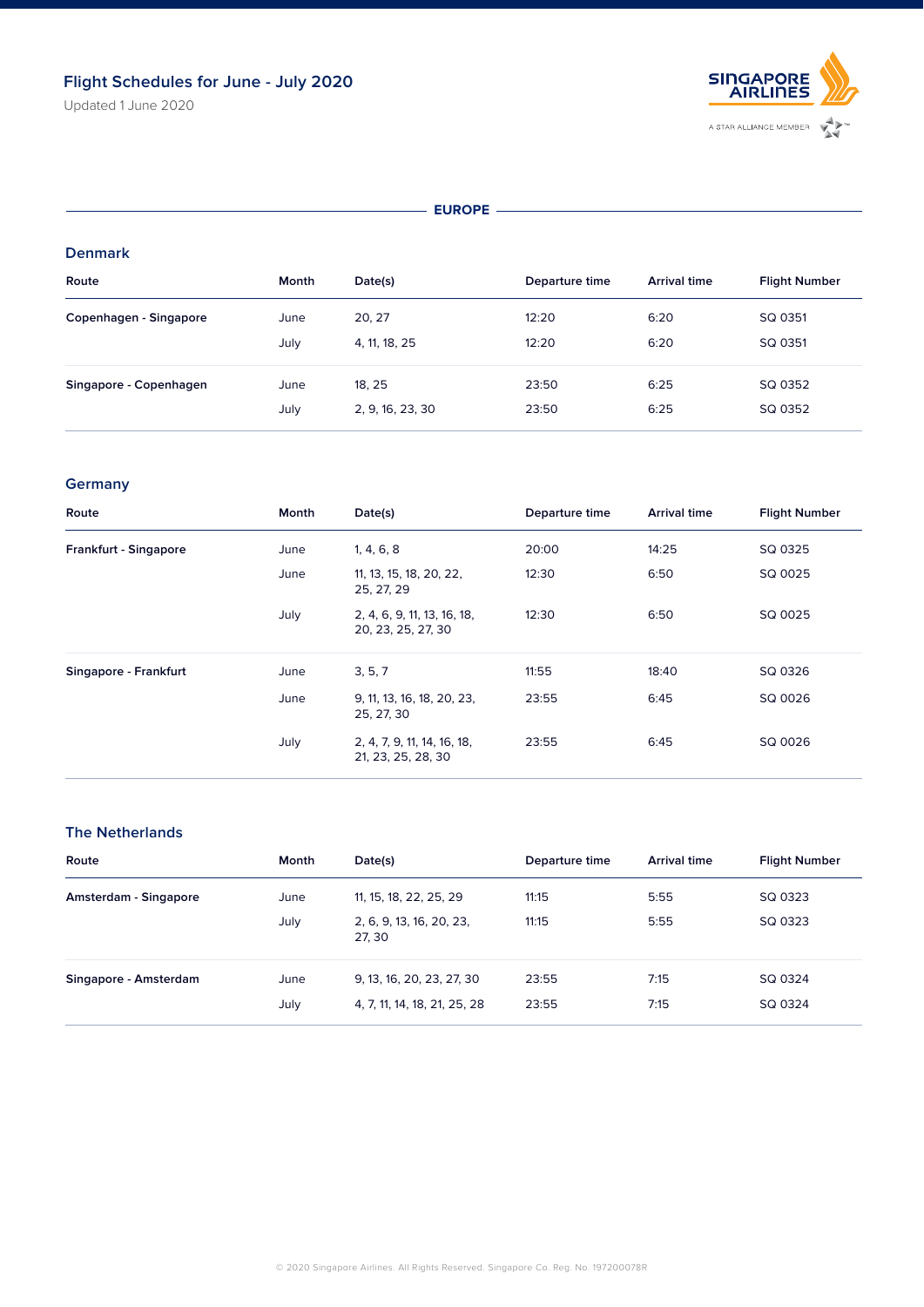Updated 1 June 2020



#### **EUROPE**

#### **Denmark**

| Route                  | Month | Date(s)          | Departure time | <b>Arrival time</b> | <b>Flight Number</b> |
|------------------------|-------|------------------|----------------|---------------------|----------------------|
| Copenhagen - Singapore | June  | 20, 27           | 12:20          | 6:20                | SQ 0351              |
|                        | July  | 4, 11, 18, 25    | 12:20          | 6:20                | SQ 0351              |
| Singapore - Copenhagen | June  | 18, 25           | 23:50          | 6:25                | SQ 0352              |
|                        | July  | 2, 9, 16, 23, 30 | 23:50          | 6:25                | SQ 0352              |

## **Germany**

| Route                 | Month | Date(s)                                           | Departure time | <b>Arrival time</b> | <b>Flight Number</b> |
|-----------------------|-------|---------------------------------------------------|----------------|---------------------|----------------------|
| Frankfurt - Singapore | June  | 1, 4, 6, 8                                        | 20:00          | 14:25               | SQ 0325              |
|                       | June  | 11, 13, 15, 18, 20, 22,<br>25, 27, 29             | 12:30          | 6:50                | SQ 0025              |
|                       | July  | 2, 4, 6, 9, 11, 13, 16, 18,<br>20, 23, 25, 27, 30 | 12:30          | 6:50                | SQ 0025              |
| Singapore - Frankfurt | June  | 3, 5, 7                                           | 11:55          | 18:40               | SQ 0326              |
|                       | June  | 9, 11, 13, 16, 18, 20, 23,<br>25, 27, 30          | 23:55          | 6:45                | SQ 0026              |
|                       | July  | 2, 4, 7, 9, 11, 14, 16, 18,<br>21, 23, 25, 28, 30 | 23:55          | 6:45                | SQ 0026              |

## **The Netherlands**

| Route                 | Month        | Date(s)                                                   | Departure time | <b>Arrival time</b> | <b>Flight Number</b> |
|-----------------------|--------------|-----------------------------------------------------------|----------------|---------------------|----------------------|
| Amsterdam - Singapore | June         | 11, 15, 18, 22, 25, 29                                    | 11:15          | 5:55                | SQ 0323              |
|                       | July         | 2, 6, 9, 13, 16, 20, 23,<br>27, 30                        | 11:15          | 5:55                | SQ 0323              |
| Singapore - Amsterdam | June<br>July | 9, 13, 16, 20, 23, 27, 30<br>4, 7, 11, 14, 18, 21, 25, 28 | 23:55<br>23:55 | 7:15<br>7:15        | SQ 0324<br>SQ 0324   |